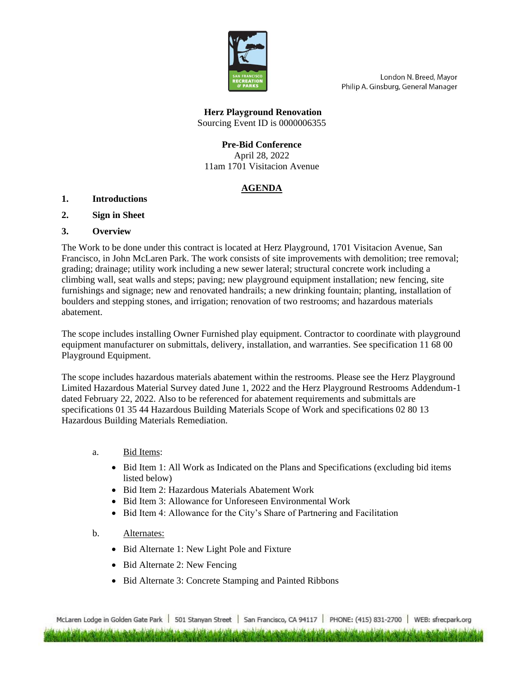

London N. Breed, Mayor Philip A. Ginsburg, General Manager

**Herz Playground Renovation** Sourcing Event ID is 0000006355

# **Pre-Bid Conference**

April 28, 2022 11am 1701 Visitacion Avenue

# **AGENDA**

#### **1. Introductions**

**2. Sign in Sheet**

#### **3. Overview**

The Work to be done under this contract is located at Herz Playground, 1701 Visitacion Avenue, San Francisco, in John McLaren Park. The work consists of site improvements with demolition; tree removal; grading; drainage; utility work including a new sewer lateral; structural concrete work including a climbing wall, seat walls and steps; paving; new playground equipment installation; new fencing, site furnishings and signage; new and renovated handrails; a new drinking fountain; planting, installation of boulders and stepping stones, and irrigation; renovation of two restrooms; and hazardous materials abatement.

The scope includes installing Owner Furnished play equipment. Contractor to coordinate with playground equipment manufacturer on submittals, delivery, installation, and warranties. See specification 11 68 00 Playground Equipment.

The scope includes hazardous materials abatement within the restrooms. Please see the Herz Playground Limited Hazardous Material Survey dated June 1, 2022 and the Herz Playground Restrooms Addendum-1 dated February 22, 2022. Also to be referenced for abatement requirements and submittals are specifications 01 35 44 Hazardous Building Materials Scope of Work and specifications 02 80 13 Hazardous Building Materials Remediation.

- a. Bid Items:
	- Bid Item 1: All Work as Indicated on the Plans and Specifications (excluding bid items listed below)
	- Bid Item 2: Hazardous Materials Abatement Work
	- Bid Item 3: Allowance for Unforeseen Environmental Work
	- Bid Item 4: Allowance for the City's Share of Partnering and Facilitation
- b. Alternates:
	- Bid Alternate 1: New Light Pole and Fixture
	- Bid Alternate 2: New Fencing
	- Bid Alternate 3: Concrete Stamping and Painted Ribbons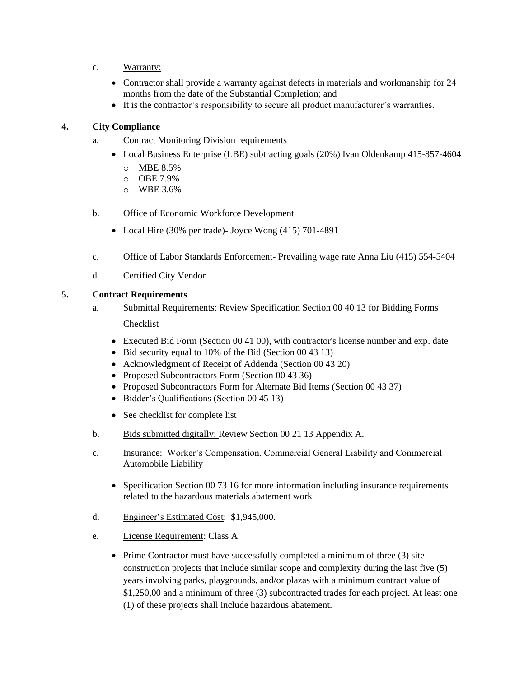- c. Warranty:
	- Contractor shall provide a warranty against defects in materials and workmanship for 24 months from the date of the Substantial Completion; and
	- It is the contractor's responsibility to secure all product manufacturer's warranties.

## **4. City Compliance**

- a. Contract Monitoring Division requirements
	- Local Business Enterprise (LBE) subtracting goals (20%) Ivan Oldenkamp 415-857-4604
		- o MBE 8.5%
		- o OBE 7.9%
		- o WBE 3.6%
- b. Office of Economic Workforce Development
	- Local Hire (30% per trade)- Joyce Wong (415) 701-4891
- c. Office of Labor Standards Enforcement- Prevailing wage rate Anna Liu (415) 554-5404
- d. Certified City Vendor

#### **5. Contract Requirements**

- a. Submittal Requirements: Review Specification Section 00 40 13 for Bidding Forms Checklist
	- Executed Bid Form (Section 00 41 00), with contractor's license number and exp. date
	- Bid security equal to 10% of the Bid (Section 00 43 13)
	- Acknowledgment of Receipt of Addenda (Section 00 43 20)
	- Proposed Subcontractors Form (Section 00 43 36)
	- Proposed Subcontractors Form for Alternate Bid Items (Section 00 43 37)
	- Bidder's Qualifications (Section 00 45 13)
	- See checklist for complete list
- b. Bids submitted digitally: Review Section 00 21 13 Appendix A.
- c. Insurance: Worker's Compensation, Commercial General Liability and Commercial Automobile Liability
	- Specification Section 00 73 16 for more information including insurance requirements related to the hazardous materials abatement work
- d. Engineer's Estimated Cost: \$1,945,000.
- e. License Requirement: Class A
	- Prime Contractor must have successfully completed a minimum of three (3) site construction projects that include similar scope and complexity during the last five (5) years involving parks, playgrounds, and/or plazas with a minimum contract value of \$1,250,00 and a minimum of three (3) subcontracted trades for each project. At least one (1) of these projects shall include hazardous abatement.